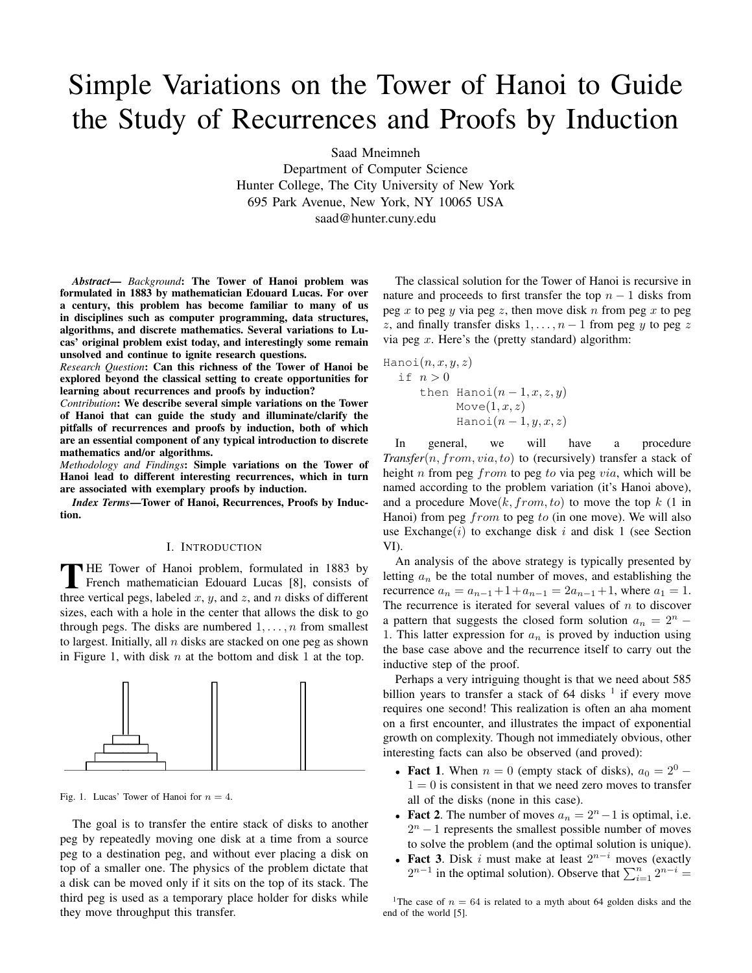# Simple Variations on the Tower of Hanoi to Guide the Study of Recurrences and Proofs by Induction

Saad Mneimneh

Department of Computer Science Hunter College, The City University of New York 695 Park Avenue, New York, NY 10065 USA saad@hunter.cuny.edu

*Abstract*— *Background*: The Tower of Hanoi problem was formulated in 1883 by mathematician Edouard Lucas. For over a century, this problem has become familiar to many of us in disciplines such as computer programming, data structures, algorithms, and discrete mathematics. Several variations to Lucas' original problem exist today, and interestingly some remain unsolved and continue to ignite research questions.

*Research Question*: Can this richness of the Tower of Hanoi be explored beyond the classical setting to create opportunities for learning about recurrences and proofs by induction?

*Contribution*: We describe several simple variations on the Tower of Hanoi that can guide the study and illuminate/clarify the pitfalls of recurrences and proofs by induction, both of which are an essential component of any typical introduction to discrete mathematics and/or algorithms.

*Methodology and Findings*: Simple variations on the Tower of Hanoi lead to different interesting recurrences, which in turn are associated with exemplary proofs by induction.

*Index Terms*—Tower of Hanoi, Recurrences, Proofs by Induction.

#### I. INTRODUCTION

THE Tower of Hanoi problem, formulated in 1883 by<br>French mathematician Edouard Lucas [8], consists of<br>these untital ages labeled using and useful distance different French mathematician Edouard Lucas [8], consists of three vertical pegs, labeled  $x, y$ , and  $z$ , and  $n$  disks of different sizes, each with a hole in the center that allows the disk to go through pegs. The disks are numbered  $1, \ldots, n$  from smallest to largest. Initially, all  $n$  disks are stacked on one peg as shown in Figure 1, with disk  $n$  at the bottom and disk 1 at the top.



Fig. 1. Lucas' Tower of Hanoi for  $n = 4$ .

The goal is to transfer the entire stack of disks to another peg by repeatedly moving one disk at a time from a source peg to a destination peg, and without ever placing a disk on top of a smaller one. The physics of the problem dictate that a disk can be moved only if it sits on the top of its stack. The third peg is used as a temporary place holder for disks while they move throughput this transfer.

The classical solution for the Tower of Hanoi is recursive in nature and proceeds to first transfer the top  $n - 1$  disks from peg x to peg y via peg z, then move disk n from peg x to peg z, and finally transfer disks  $1, \ldots, n-1$  from peg y to peg z via peg  $x$ . Here's the (pretty standard) algorithm:

$$
\begin{aligned}\n\text{Hanoi}(n, x, y, z) \\
\text{if } n > 0 \\
\text{then } \text{Hanoi}(n-1, x, z, y) \\
\text{Move}(1, x, z) \\
\text{Hanoi}(n-1, y, x, z)\n\end{aligned}
$$

In general, we will have a procedure *Transfer*(n, from, via, to) to (recursively) transfer a stack of height n from peg from to peg to via peg via, which will be named according to the problem variation (it's Hanoi above), and a procedure Move $(k, from, to)$  to move the top k (1 in Hanoi) from peg  $from$  to peg to (in one move). We will also use Exchange $(i)$  to exchange disk i and disk 1 (see Section VI).

An analysis of the above strategy is typically presented by letting  $a_n$  be the total number of moves, and establishing the recurrence  $a_n = a_{n-1} + 1 + a_{n-1} = 2a_{n-1} + 1$ , where  $a_1 = 1$ . The recurrence is iterated for several values of  $n$  to discover a pattern that suggests the closed form solution  $a_n = 2^n -$ 1. This latter expression for  $a_n$  is proved by induction using the base case above and the recurrence itself to carry out the inductive step of the proof.

Perhaps a very intriguing thought is that we need about 585 billion years to transfer a stack of  $64$  disks  $<sup>1</sup>$  if every move</sup> requires one second! This realization is often an aha moment on a first encounter, and illustrates the impact of exponential growth on complexity. Though not immediately obvious, other interesting facts can also be observed (and proved):

- Fact 1. When  $n = 0$  (empty stack of disks),  $a_0 = 2^0$   $1 = 0$  is consistent in that we need zero moves to transfer all of the disks (none in this case).
- Fact 2. The number of moves  $a_n = 2^n 1$  is optimal, i.e.  $2<sup>n</sup> - 1$  represents the smallest possible number of moves to solve the problem (and the optimal solution is unique).
- Fact 3. Disk i must make at least  $2^{n-i}$  moves (exactly  $2^{n-1}$  in the optimal solution). Observe that  $\sum_{i=1}^{n} 2^{n-i} =$

<sup>1</sup>The case of  $n = 64$  is related to a myth about 64 golden disks and the end of the world [5].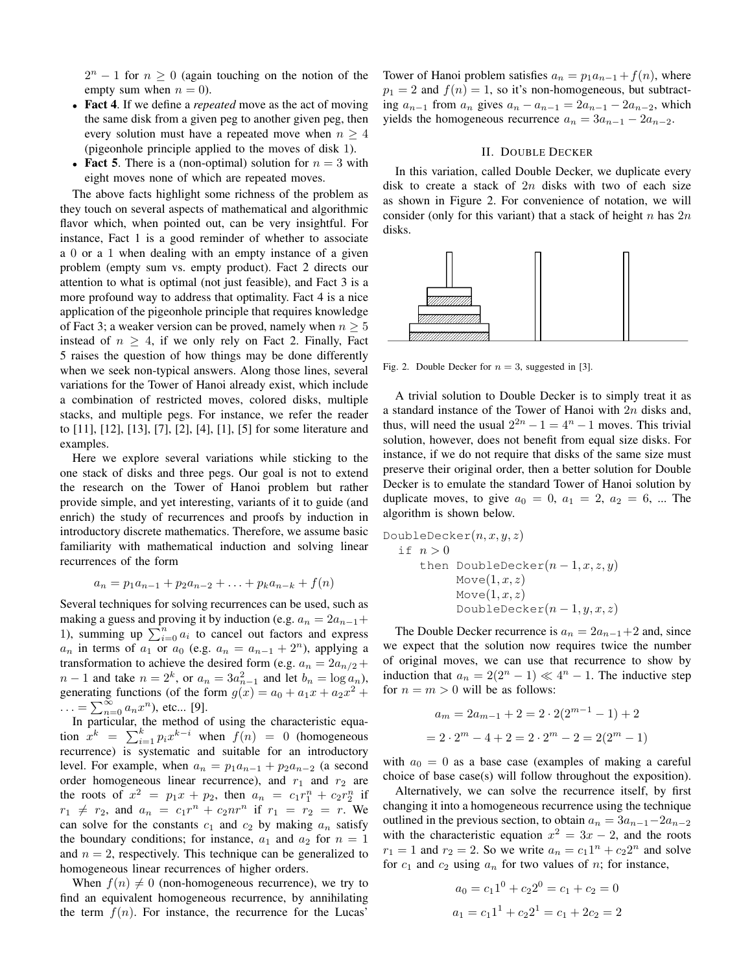$2^n - 1$  for  $n \geq 0$  (again touching on the notion of the empty sum when  $n = 0$ ).

- Fact 4. If we define a *repeated* move as the act of moving the same disk from a given peg to another given peg, then every solution must have a repeated move when  $n \geq 4$ (pigeonhole principle applied to the moves of disk 1).
- Fact 5. There is a (non-optimal) solution for  $n = 3$  with eight moves none of which are repeated moves.

The above facts highlight some richness of the problem as they touch on several aspects of mathematical and algorithmic flavor which, when pointed out, can be very insightful. For instance, Fact 1 is a good reminder of whether to associate a 0 or a 1 when dealing with an empty instance of a given problem (empty sum vs. empty product). Fact 2 directs our attention to what is optimal (not just feasible), and Fact 3 is a more profound way to address that optimality. Fact 4 is a nice application of the pigeonhole principle that requires knowledge of Fact 3; a weaker version can be proved, namely when  $n \geq 5$ instead of  $n \geq 4$ , if we only rely on Fact 2. Finally, Fact 5 raises the question of how things may be done differently when we seek non-typical answers. Along those lines, several variations for the Tower of Hanoi already exist, which include a combination of restricted moves, colored disks, multiple stacks, and multiple pegs. For instance, we refer the reader to [11], [12], [13], [7], [2], [4], [1], [5] for some literature and examples.

Here we explore several variations while sticking to the one stack of disks and three pegs. Our goal is not to extend the research on the Tower of Hanoi problem but rather provide simple, and yet interesting, variants of it to guide (and enrich) the study of recurrences and proofs by induction in introductory discrete mathematics. Therefore, we assume basic familiarity with mathematical induction and solving linear recurrences of the form

$$
a_n = p_1 a_{n-1} + p_2 a_{n-2} + \ldots + p_k a_{n-k} + f(n)
$$

Several techniques for solving recurrences can be used, such as making a guess and proving it by induction (e.g.  $a_n = 2a_{n-1}+$ 1), summing up  $\sum_{i=0}^{n} a_i$  to cancel out factors and express  $a_n$  in terms of  $a_1$  or  $a_0$  (e.g.  $a_n = a_{n-1} + 2^n$ ), applying a transformation to achieve the desired form (e.g.  $a_n = 2a_{n/2} +$  $n-1$  and take  $n=2^k$ , or  $a_n=3a_{n-1}^2$  and let  $b_n=\log a_n$ ), generating functions (of the form  $g(x) = a_0 + a_1x + a_2x^2 +$  $\ldots = \sum_{n=0}^{\infty} a_n x^n$ , etc... [9].

In particular, the method of using the characteristic equation  $x^k = \sum_{i=1}^k p_i x^{k-i}$  when  $f(n) = 0$  (homogeneous recurrence) is systematic and suitable for an introductory level. For example, when  $a_n = p_1 a_{n-1} + p_2 a_{n-2}$  (a second order homogeneous linear recurrence), and  $r_1$  and  $r_2$  are the roots of  $x^2 = p_1x + p_2$ , then  $a_n = c_1r_1^n + c_2r_2^n$  if  $r_1 \neq r_2$ , and  $a_n = c_1 r^n + c_2 n r^n$  if  $r_1 = r_2 = r$ . We can solve for the constants  $c_1$  and  $c_2$  by making  $a_n$  satisfy the boundary conditions; for instance,  $a_1$  and  $a_2$  for  $n = 1$ and  $n = 2$ , respectively. This technique can be generalized to homogeneous linear recurrences of higher orders.

When  $f(n) \neq 0$  (non-homogeneous recurrence), we try to find an equivalent homogeneous recurrence, by annihilating the term  $f(n)$ . For instance, the recurrence for the Lucas'

Tower of Hanoi problem satisfies  $a_n = p_1 a_{n-1} + f(n)$ , where  $p_1 = 2$  and  $f(n) = 1$ , so it's non-homogeneous, but subtracting  $a_{n-1}$  from  $a_n$  gives  $a_n - a_{n-1} = 2a_{n-1} - 2a_{n-2}$ , which yields the homogeneous recurrence  $a_n = 3a_{n-1} - 2a_{n-2}$ .

## II. DOUBLE DECKER

In this variation, called Double Decker, we duplicate every disk to create a stack of  $2n$  disks with two of each size as shown in Figure 2. For convenience of notation, we will consider (only for this variant) that a stack of height  $n$  has  $2n$ disks.



Fig. 2. Double Decker for  $n = 3$ , suggested in [3].

A trivial solution to Double Decker is to simply treat it as a standard instance of the Tower of Hanoi with 2n disks and, thus, will need the usual  $2^{2n} - 1 = 4^n - 1$  moves. This trivial solution, however, does not benefit from equal size disks. For instance, if we do not require that disks of the same size must preserve their original order, then a better solution for Double Decker is to emulate the standard Tower of Hanoi solution by duplicate moves, to give  $a_0 = 0$ ,  $a_1 = 2$ ,  $a_2 = 6$ , ... The algorithm is shown below.

DoubleDecker
$$
(n, x, y, z)
$$

\nif  $n > 0$ 

\nthen DoubleDecker $(n-1, x, z, y)$ 

\nMove(1, x, z)

\nMove(1, x, z)

\nDoubleDecker $(n-1, y, x, z)$ 

The Double Decker recurrence is  $a_n = 2a_{n-1}+2$  and, since we expect that the solution now requires twice the number of original moves, we can use that recurrence to show by induction that  $a_n = 2(2^n - 1) \ll 4^n - 1$ . The inductive step for  $n = m > 0$  will be as follows:

$$
a_m = 2a_{m-1} + 2 = 2 \cdot 2(2^{m-1} - 1) + 2
$$

$$
= 2 \cdot 2^m - 4 + 2 = 2 \cdot 2^m - 2 = 2(2^m - 1)
$$

with  $a_0 = 0$  as a base case (examples of making a careful choice of base case(s) will follow throughout the exposition).

Alternatively, we can solve the recurrence itself, by first changing it into a homogeneous recurrence using the technique outlined in the previous section, to obtain  $a_n = 3a_{n-1}-2a_{n-2}$ with the characteristic equation  $x^2 = 3x - 2$ , and the roots  $r_1 = 1$  and  $r_2 = 2$ . So we write  $a_n = c_1 1^n + c_2 2^n$  and solve for  $c_1$  and  $c_2$  using  $a_n$  for two values of n; for instance,

$$
a_0 = c_1 1^0 + c_2 2^0 = c_1 + c_2 = 0
$$
  

$$
a_1 = c_1 1^1 + c_2 2^1 = c_1 + 2c_2 = 2
$$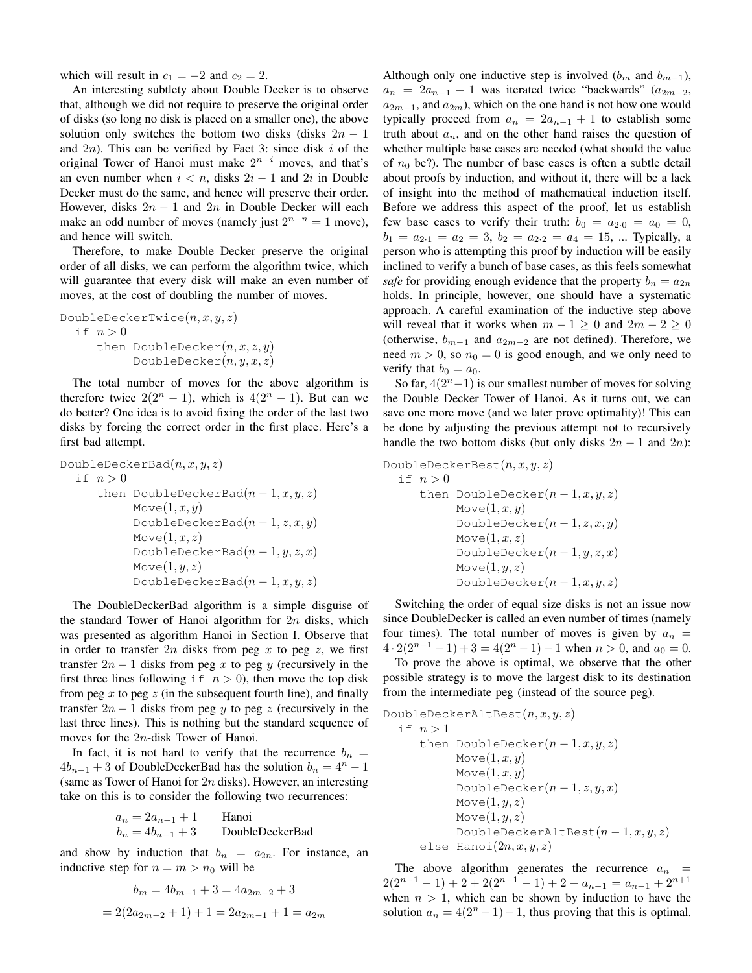which will result in  $c_1 = -2$  and  $c_2 = 2$ .

An interesting subtlety about Double Decker is to observe that, although we did not require to preserve the original order of disks (so long no disk is placed on a smaller one), the above solution only switches the bottom two disks (disks  $2n - 1$ and  $2n$ ). This can be verified by Fact 3: since disk i of the original Tower of Hanoi must make  $2^{n-i}$  moves, and that's an even number when  $i < n$ , disks  $2i - 1$  and  $2i$  in Double Decker must do the same, and hence will preserve their order. However, disks  $2n - 1$  and  $2n$  in Double Decker will each make an odd number of moves (namely just  $2^{n-n} = 1$  move), and hence will switch.

Therefore, to make Double Decker preserve the original order of all disks, we can perform the algorithm twice, which will guarantee that every disk will make an even number of moves, at the cost of doubling the number of moves.

```
DoubleDeckerTwice(n, x, y, z)if n > 0then DoubleDecker(n, x, z, y)DoubleDecker(n, y, x, z)
```
The total number of moves for the above algorithm is therefore twice  $2(2^n - 1)$ , which is  $4(2^n - 1)$ . But can we do better? One idea is to avoid fixing the order of the last two disks by forcing the correct order in the first place. Here's a first bad attempt.

```
DoubleDeckerBad(n, x, y, z)if n > 0then DoubleDeckerBad(n-1, x, y, z)Move(1, x, y)DoubleDeckerBad(n-1, z, x, y)Move(1, x, z)DoubleDeckerBad(n-1, y, z, x)Move(1, y, z)DoubleDeckerBad(n-1, x, y, z)
```
The DoubleDeckerBad algorithm is a simple disguise of the standard Tower of Hanoi algorithm for  $2n$  disks, which was presented as algorithm Hanoi in Section I. Observe that in order to transfer  $2n$  disks from peg x to peg z, we first transfer  $2n - 1$  disks from peg x to peg y (recursively in the first three lines following if  $n > 0$ ), then move the top disk from peg x to peg z (in the subsequent fourth line), and finally transfer  $2n - 1$  disks from peg y to peg z (recursively in the last three lines). This is nothing but the standard sequence of moves for the 2n-disk Tower of Hanoi.

In fact, it is not hard to verify that the recurrence  $b_n =$  $4b_{n-1} + 3$  of DoubleDeckerBad has the solution  $b_n = 4^n - 1$ (same as Tower of Hanoi for  $2n$  disks). However, an interesting take on this is to consider the following two recurrences:

$$
a_n = 2a_{n-1} + 1
$$
 Hanoi  

$$
b_n = 4b_{n-1} + 3
$$
 DoubleDeckerBad

and show by induction that  $b_n = a_{2n}$ . For instance, an inductive step for  $n = m > n_0$  will be

$$
b_m = 4b_{m-1} + 3 = 4a_{2m-2} + 3
$$

$$
= 2(2a_{2m-2} + 1) + 1 = 2a_{2m-1} + 1 = a_{2m}
$$

Although only one inductive step is involved  $(b_m$  and  $b_{m-1}$ ),  $a_n = 2a_{n-1} + 1$  was iterated twice "backwards" ( $a_{2m-2}$ ,  $a_{2m-1}$ , and  $a_{2m}$ ), which on the one hand is not how one would typically proceed from  $a_n = 2a_{n-1} + 1$  to establish some truth about  $a_n$ , and on the other hand raises the question of whether multiple base cases are needed (what should the value of  $n_0$  be?). The number of base cases is often a subtle detail about proofs by induction, and without it, there will be a lack of insight into the method of mathematical induction itself. Before we address this aspect of the proof, let us establish few base cases to verify their truth:  $b_0 = a_{2 \cdot 0} = a_0 = 0$ ,  $b_1 = a_{2 \cdot 1} = a_2 = 3, b_2 = a_{2 \cdot 2} = a_4 = 15, \dots$  Typically, a person who is attempting this proof by induction will be easily inclined to verify a bunch of base cases, as this feels somewhat *safe* for providing enough evidence that the property  $b_n = a_{2n}$ holds. In principle, however, one should have a systematic approach. A careful examination of the inductive step above will reveal that it works when  $m - 1 \geq 0$  and  $2m - 2 \geq 0$ (otherwise,  $b_{m-1}$  and  $a_{2m-2}$  are not defined). Therefore, we need  $m > 0$ , so  $n_0 = 0$  is good enough, and we only need to verify that  $b_0 = a_0$ .

So far,  $4(2<sup>n</sup> - 1)$  is our smallest number of moves for solving the Double Decker Tower of Hanoi. As it turns out, we can save one more move (and we later prove optimality)! This can be done by adjusting the previous attempt not to recursively handle the two bottom disks (but only disks  $2n - 1$  and  $2n$ ):

DoubleDeckerBest $(n, x, y, z)$ if  $n > 0$ then DoubleDecker $(n-1, x, y, z)$  $Move(1, x, y)$ DoubleDecker $(n-1, z, x, y)$  $Move(1, x, z)$ DoubleDecker $(n-1, y, z, x)$  $Move(1, y, z)$ DoubleDecker $(n-1, x, y, z)$ 

Switching the order of equal size disks is not an issue now since DoubleDecker is called an even number of times (namely four times). The total number of moves is given by  $a_n =$  $4 \cdot 2(2^{n-1}-1) + 3 = 4(2^n-1) - 1$  when  $n > 0$ , and  $a_0 = 0$ .

To prove the above is optimal, we observe that the other possible strategy is to move the largest disk to its destination from the intermediate peg (instead of the source peg).

```
DoubleDeckerAltBest(n, x, y, z)if n > 1then DoubleDecker(n-1, x, y, z)Move(1, x, y)Move(1, x, y)DoubleDecker(n-1, z, y, x)Move(1, y, z)Move(1, y, z)DoubleDeckerAltBest(n-1, x, y, z)else Hanoi(2n, x, y, z)
```
The above algorithm generates the recurrence  $a_n =$  $2(2^{n-1}-1) + 2 + 2(2^{n-1}-1) + 2 + a_{n-1} = a_{n-1} + 2^{n+1}$ when  $n > 1$ , which can be shown by induction to have the solution  $a_n = 4(2^n - 1) - 1$ , thus proving that this is optimal.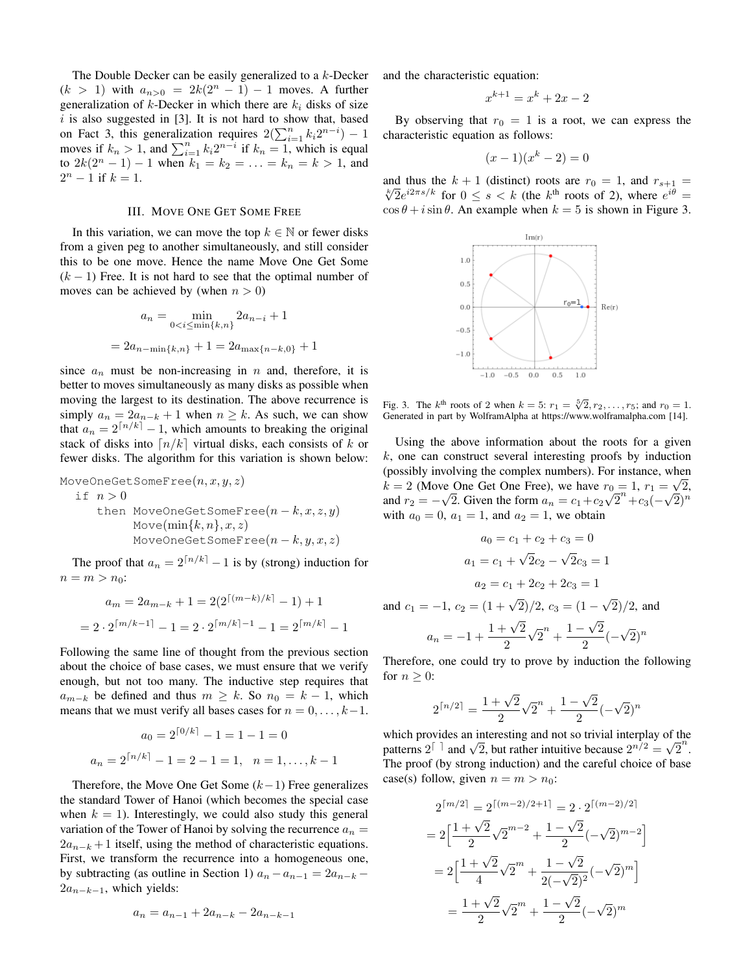The Double Decker can be easily generalized to a k-Decker  $(k > 1)$  with  $a_{n>0} = 2k(2^n - 1) - 1$  moves. A further generalization of  $k$ -Decker in which there are  $k_i$  disks of size  $i$  is also suggested in [3]. It is not hard to show that, based on Fact 3, this generalization requires  $2(\sum_{i=1}^{n} k_i 2^{n-i}) - 1$ moves if  $k_n > 1$ , and  $\sum_{i=1}^n k_i 2^{n-i}$  if  $k_n = 1$ , which is equal to  $2k(2^{n} - 1) - 1$  when  $k_1 = k_2 = \ldots = k_n = k > 1$ , and  $2^n - 1$  if  $k = 1$ .

#### III. MOVE ONE GET SOME FREE

In this variation, we can move the top  $k \in \mathbb{N}$  or fewer disks from a given peg to another simultaneously, and still consider this to be one move. Hence the name Move One Get Some  $(k - 1)$  Free. It is not hard to see that the optimal number of moves can be achieved by (when  $n > 0$ )

$$
a_n = \min_{0 < i \le \min\{k, n\}} 2a_{n-i} + 1
$$
\n
$$
= 2a_{n-\min\{k, n\}} + 1 = 2a_{\max\{n-k, 0\}} + 1
$$

since  $a_n$  must be non-increasing in n and, therefore, it is better to moves simultaneously as many disks as possible when moving the largest to its destination. The above recurrence is simply  $a_n = 2a_{n-k} + 1$  when  $n \ge k$ . As such, we can show that  $a_n = 2^{\lceil n/k \rceil} - 1$ , which amounts to breaking the original stack of disks into  $\lfloor n/k \rfloor$  virtual disks, each consists of k or fewer disks. The algorithm for this variation is shown below:

$$
\begin{array}{ll}\texttt{MoveOneGetSomeFree}(n,x,y,z) \\ \texttt{if} \; n > 0 \\ \texttt{then MoveOneGetSomeFree}(n-k,x,z,y) \\ \texttt{Move(min}{k,n},x,z) \\ \texttt{MoveOneGetSomeFree}(n-k,y,x,z)\end{array}
$$

The proof that  $a_n = 2^{\lceil n/k \rceil} - 1$  is by (strong) induction for  $n = m > n_0$ :

$$
a_m = 2a_{m-k} + 1 = 2(2^{\lceil (m-k)/k \rceil} - 1) + 1
$$

$$
= 2 \cdot 2^{\lceil m/k - 1 \rceil} - 1 = 2 \cdot 2^{\lceil m/k \rceil - 1} - 1 = 2^{\lceil m/k \rceil} - 1
$$

Following the same line of thought from the previous section about the choice of base cases, we must ensure that we verify enough, but not too many. The inductive step requires that  $a_{m-k}$  be defined and thus  $m \geq k$ . So  $n_0 = k - 1$ , which means that we must verify all bases cases for  $n = 0, \ldots, k-1$ .

$$
a_0 = 2^{\lceil 0/k \rceil} - 1 = 1 - 1 = 0
$$
  

$$
a_n = 2^{\lceil n/k \rceil} - 1 = 2 - 1 = 1, \quad n = 1, \dots, k - 1
$$

Therefore, the Move One Get Some  $(k-1)$  Free generalizes the standard Tower of Hanoi (which becomes the special case when  $k = 1$ ). Interestingly, we could also study this general variation of the Tower of Hanoi by solving the recurrence  $a_n =$  $2a_{n-k} + 1$  itself, using the method of characteristic equations. First, we transform the recurrence into a homogeneous one, by subtracting (as outline in Section 1)  $a_n - a_{n-1} = 2a_{n-k}$  $2a_{n-k-1}$ , which yields:

$$
a_n = a_{n-1} + 2a_{n-k} - 2a_{n-k-1}
$$

and the characteristic equation:

$$
x^{k+1} = x^k + 2x - 2
$$

By observing that  $r_0 = 1$  is a root, we can express the characteristic equation as follows:

$$
(x-1)(x^k-2) = 0
$$

and thus the  $k + 1$  (distinct) roots are  $r_0 = 1$ , and  $r_{s+1} =$  $\sqrt{2}e^{i2\pi s/k}$  for  $0 \le s \le k$  (the k<sup>th</sup> roots of 2), where  $e^{i\theta} =$  $\cos \theta + i \sin \theta$ . An example when  $k = 5$  is shown in Figure 3.



Fig. 3. The  $k^{\text{th}}$  roots of 2 when  $k = 5$ :  $r_1 = \sqrt[5]{2}, r_2, \ldots, r_5$ ; and  $r_0 = 1$ . Generated in part by WolframAlpha at https://www.wolframalpha.com [14].

Using the above information about the roots for a given  $k$ , one can construct several interesting proofs by induction (possibly involving the complex numbers). For instance, when  $k = 2$  (Move One Get One Free), we have  $r_0 = 1$ ,  $r_1 = \sqrt{2}$ , and  $r_2 = -\sqrt{2}$ . Given the form  $a_n = c_1 + c_2\sqrt{2}^n + c_3(-\sqrt{2})^n$ with  $a_0 = 0$ ,  $a_1 = 1$ , and  $a_2 = 1$ , we obtain

$$
a_0 = c_1 + c_2 + c_3 = 0
$$
  

$$
a_1 = c_1 + \sqrt{2}c_2 - \sqrt{2}c_3 = 1
$$
  

$$
a_2 = c_1 + 2c_2 + 2c_3 = 1
$$

and  $c_1 = -1$ ,  $c_2 = (1 + \sqrt{2})/2$ ,  $c_3 = (1 -$ √  $2)/2$ , and

$$
a_n = -1 + \frac{1 + \sqrt{2}}{2}\sqrt{2}^n + \frac{1 - \sqrt{2}}{2}(-\sqrt{2})^n
$$

Therefore, one could try to prove by induction the following for  $n \geq 0$ :

$$
2^{\lceil n/2 \rceil} = \frac{1 + \sqrt{2}}{2} \sqrt{2}^n + \frac{1 - \sqrt{2}}{2} (-\sqrt{2})^n
$$

which provides an interesting and not so trivial interplay of the which provides an interesting and not so trivial interplay of the patterns  $2^{\lceil}$  and  $\sqrt{2}$ , but rather intuitive because  $2^{n/2} = \sqrt{2}^n$ . The proof (by strong induction) and the careful choice of base case(s) follow, given  $n = m > n_0$ :

$$
2^{\lceil m/2 \rceil} = 2^{\lceil (m-2)/2 + 1 \rceil} = 2 \cdot 2^{\lceil (m-2)/2 \rceil}
$$

$$
= 2 \left[ \frac{1 + \sqrt{2}}{2} \sqrt{2}^{m-2} + \frac{1 - \sqrt{2}}{2} (-\sqrt{2})^{m-2} \right]
$$

$$
= 2 \left[ \frac{1 + \sqrt{2}}{4} \sqrt{2}^m + \frac{1 - \sqrt{2}}{2(-\sqrt{2})^2} (-\sqrt{2})^m \right]
$$

$$
= \frac{1 + \sqrt{2}}{2} \sqrt{2}^m + \frac{1 - \sqrt{2}}{2} (-\sqrt{2})^m
$$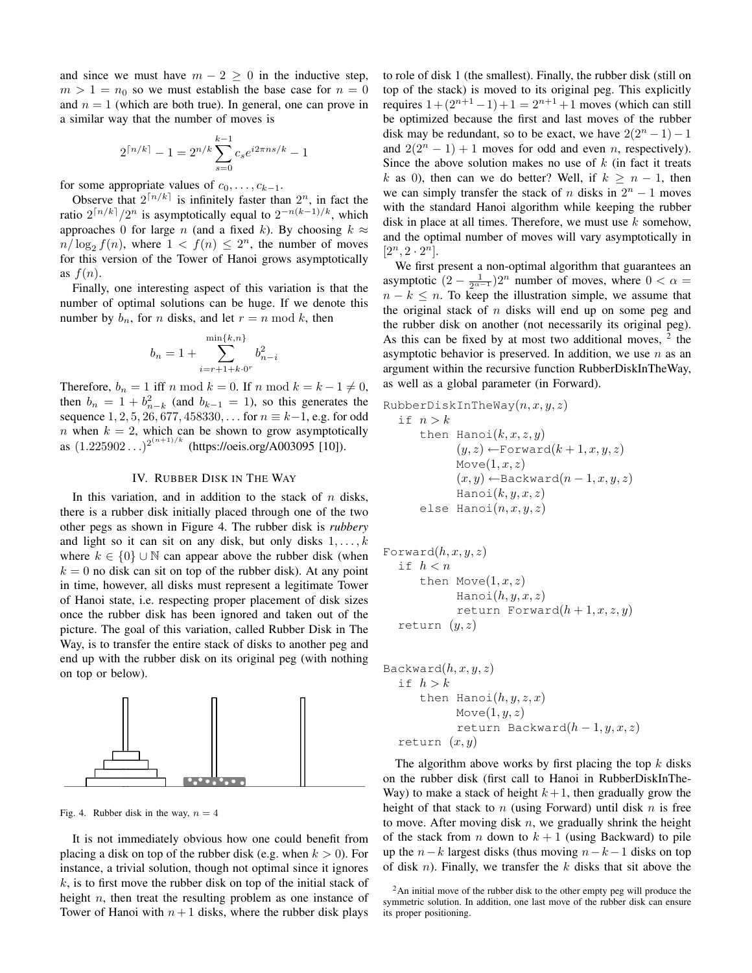and since we must have  $m - 2 \geq 0$  in the inductive step,  $m > 1 = n_0$  so we must establish the base case for  $n = 0$ and  $n = 1$  (which are both true). In general, one can prove in a similar way that the number of moves is

$$
2^{\lceil n/k \rceil} - 1 = 2^{n/k} \sum_{s=0}^{k-1} c_s e^{i2\pi n s/k} - 1
$$

for some appropriate values of  $c_0, \ldots, c_{k-1}$ .

Observe that  $2^{\lceil n/k \rceil}$  is infinitely faster than  $2^n$ , in fact the ratio  $2^{\lceil n/k \rceil}/2^n$  is asymptotically equal to  $2^{-n(k-1)/k}$ , which approaches 0 for large *n* (and a fixed k). By choosing  $k \approx$  $n/\log_2 f(n)$ , where  $1 < f(n) \leq 2^n$ , the number of moves for this version of the Tower of Hanoi grows asymptotically as  $f(n)$ .

Finally, one interesting aspect of this variation is that the number of optimal solutions can be huge. If we denote this number by  $b_n$ , for *n* disks, and let  $r = n \mod k$ , then

$$
b_n = 1 + \sum_{i=r+1+k,0^r}^{\min\{k,n\}} b_{n-i}^2
$$

Therefore,  $b_n = 1$  iff n mod  $k = 0$ . If n mod  $k = k - 1 \neq 0$ , then  $b_n = 1 + b_{n-k}^2$  (and  $b_{k-1} = 1$ ), so this generates the sequence  $1, 2, 5, 26, 677, 458330, \ldots$  for  $n \equiv k-1$ , e.g. for odd n when  $k = 2$ , which can be shown to grow asymptotically as  $(1.225902...)^{2^{(n+1)/k}}$  (https://oeis.org/A003095 [10]).

## IV. RUBBER DISK IN THE WAY

In this variation, and in addition to the stack of  $n$  disks, there is a rubber disk initially placed through one of the two other pegs as shown in Figure 4. The rubber disk is *rubbery* and light so it can sit on any disk, but only disks  $1, \ldots, k$ where  $k \in \{0\} \cup \mathbb{N}$  can appear above the rubber disk (when  $k = 0$  no disk can sit on top of the rubber disk). At any point in time, however, all disks must represent a legitimate Tower of Hanoi state, i.e. respecting proper placement of disk sizes once the rubber disk has been ignored and taken out of the picture. The goal of this variation, called Rubber Disk in The Way, is to transfer the entire stack of disks to another peg and end up with the rubber disk on its original peg (with nothing on top or below).



Fig. 4. Rubber disk in the way,  $n = 4$ 

It is not immediately obvious how one could benefit from placing a disk on top of the rubber disk (e.g. when  $k > 0$ ). For instance, a trivial solution, though not optimal since it ignores  $k$ , is to first move the rubber disk on top of the initial stack of height  $n$ , then treat the resulting problem as one instance of Tower of Hanoi with  $n+1$  disks, where the rubber disk plays to role of disk 1 (the smallest). Finally, the rubber disk (still on top of the stack) is moved to its original peg. This explicitly requires  $1 + (2^{n+1} - 1) + 1 = 2^{n+1} + 1$  moves (which can still be optimized because the first and last moves of the rubber disk may be redundant, so to be exact, we have  $2(2^{n} - 1) - 1$ and  $2(2^{n} - 1) + 1$  moves for odd and even *n*, respectively). Since the above solution makes no use of  $k$  (in fact it treats k as 0), then can we do better? Well, if  $k > n - 1$ , then we can simply transfer the stack of n disks in  $2^n - 1$  moves with the standard Hanoi algorithm while keeping the rubber disk in place at all times. Therefore, we must use  $k$  somehow, and the optimal number of moves will vary asymptotically in  $[2^n, 2 \cdot 2^n]$ .

We first present a non-optimal algorithm that guarantees an asymptotic  $(2 - \frac{1}{2^{\alpha - 1}})2^n$  number of moves, where  $0 < \alpha =$  $n - k \leq n$ . To keep the illustration simple, we assume that the original stack of  $n$  disks will end up on some peg and the rubber disk on another (not necessarily its original peg). As this can be fixed by at most two additional moves,  $2$  the asymptotic behavior is preserved. In addition, we use  $n$  as an argument within the recursive function RubberDiskInTheWay, as well as a global parameter (in Forward).

$$
\begin{array}{ll}\text{RubberDiskInTheWay}(n,x,y,z)\\ \text{if } n > k\\ \text{then Hanoi}(k,x,z,y)\\ (y,z) \leftarrow \text{Forward}(k+1,x,y,z)\\ \text{Move}(1,x,z)\\ (x,y) \leftarrow \text{Backward}(n-1,x,y,z)\\ \text{Hanoi}(k,y,x,z)\\ \text{else Hanoi}(n,x,y,z)\end{array}
$$

```
Forward(h, x, y, z)if h < nthen Move(1, x, z)\text{Hanoi}(h, y, x, z)return Forward(h+1, x, z, y)return (y, z)
```

$$
\begin{array}{ll}\n\text{Backward}(h, x, y, z) \\
\text{if } h > k \\
\text{then Hanoi}(h, y, z, x) \\
& \text{Move}(1, y, z) \\
\text{return Backward}(h - 1, y, x, z) \\
\text{return } (x, y)\n\end{array}
$$

The algorithm above works by first placing the top  $k$  disks on the rubber disk (first call to Hanoi in RubberDiskInThe-Way) to make a stack of height  $k+1$ , then gradually grow the height of that stack to n (using Forward) until disk  $n$  is free to move. After moving disk  $n$ , we gradually shrink the height of the stack from *n* down to  $k + 1$  (using Backward) to pile up the  $n-k$  largest disks (thus moving  $n-k-1$  disks on top of disk *n*). Finally, we transfer the  $k$  disks that sit above the

<sup>&</sup>lt;sup>2</sup>An initial move of the rubber disk to the other empty peg will produce the symmetric solution. In addition, one last move of the rubber disk can ensure its proper positioning.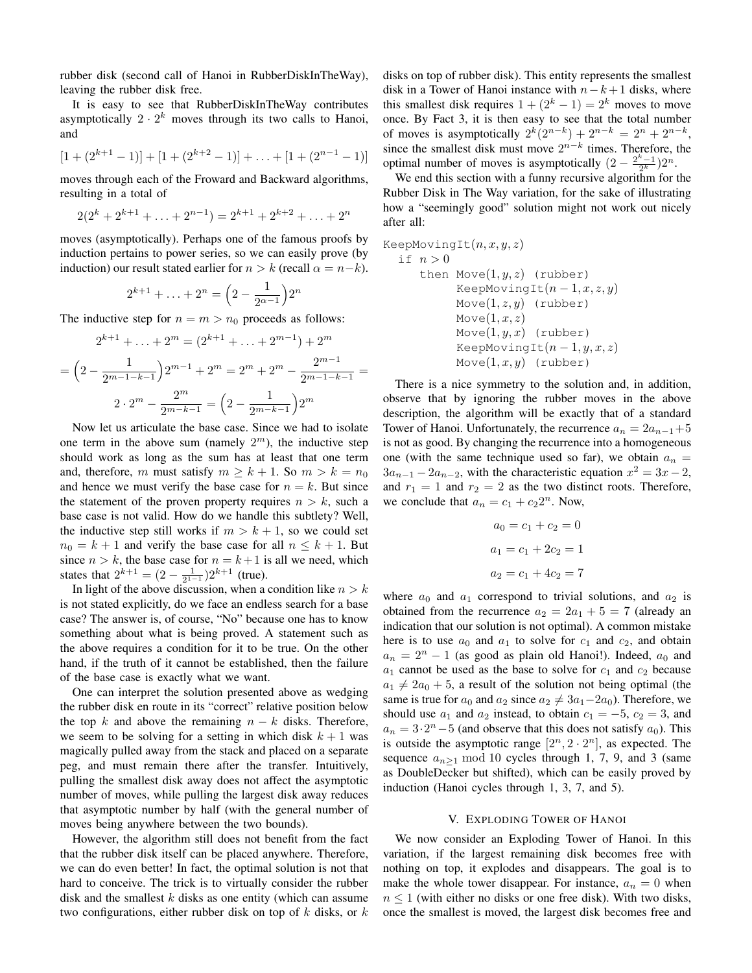rubber disk (second call of Hanoi in RubberDiskInTheWay), leaving the rubber disk free.

It is easy to see that RubberDiskInTheWay contributes asymptotically  $2 \cdot 2^k$  moves through its two calls to Hanoi, and

$$
[1 + (2^{k+1} - 1)] + [1 + (2^{k+2} - 1)] + \ldots + [1 + (2^{n-1} - 1)]
$$

moves through each of the Froward and Backward algorithms, resulting in a total of

$$
2(2k + 2k+1 + ... + 2n-1) = 2k+1 + 2k+2 + ... + 2n
$$

moves (asymptotically). Perhaps one of the famous proofs by induction pertains to power series, so we can easily prove (by induction) our result stated earlier for  $n > k$  (recall  $\alpha = n-k$ ).

$$
2^{k+1} + \ldots + 2^n = \left(2 - \frac{1}{2^{\alpha - 1}}\right)2^n
$$

The inductive step for  $n = m > n_0$  proceeds as follows:

$$
2^{k+1} + \dots + 2^m = (2^{k+1} + \dots + 2^{m-1}) + 2^m
$$

$$
= \left(2 - \frac{1}{2^{m-1-k-1}}\right)2^{m-1} + 2^m = 2^m + 2^m - \frac{2^{m-1}}{2^{m-1-k-1}} =
$$

$$
2 \cdot 2^m - \frac{2^m}{2^{m-k-1}} = \left(2 - \frac{1}{2^{m-k-1}}\right)2^m
$$

Now let us articulate the base case. Since we had to isolate one term in the above sum (namely  $2^m$ ), the inductive step should work as long as the sum has at least that one term and, therefore, m must satisfy  $m \geq k + 1$ . So  $m > k = n_0$ and hence we must verify the base case for  $n = k$ . But since the statement of the proven property requires  $n > k$ , such a base case is not valid. How do we handle this subtlety? Well, the inductive step still works if  $m > k + 1$ , so we could set  $n_0 = k + 1$  and verify the base case for all  $n \leq k + 1$ . But since  $n > k$ , the base case for  $n = k + 1$  is all we need, which states that  $2^{k+1} = (2 - \frac{1}{2^{1-1}})2^{k+1}$  (true).

In light of the above discussion, when a condition like  $n > k$ is not stated explicitly, do we face an endless search for a base case? The answer is, of course, "No" because one has to know something about what is being proved. A statement such as the above requires a condition for it to be true. On the other hand, if the truth of it cannot be established, then the failure of the base case is exactly what we want.

One can interpret the solution presented above as wedging the rubber disk en route in its "correct" relative position below the top k and above the remaining  $n - k$  disks. Therefore, we seem to be solving for a setting in which disk  $k + 1$  was magically pulled away from the stack and placed on a separate peg, and must remain there after the transfer. Intuitively, pulling the smallest disk away does not affect the asymptotic number of moves, while pulling the largest disk away reduces that asymptotic number by half (with the general number of moves being anywhere between the two bounds).

However, the algorithm still does not benefit from the fact that the rubber disk itself can be placed anywhere. Therefore, we can do even better! In fact, the optimal solution is not that hard to conceive. The trick is to virtually consider the rubber disk and the smallest  $k$  disks as one entity (which can assume two configurations, either rubber disk on top of  $k$  disks, or  $k$ 

disks on top of rubber disk). This entity represents the smallest disk in a Tower of Hanoi instance with  $n-k+1$  disks, where this smallest disk requires  $1 + (2<sup>k</sup> - 1) = 2<sup>k</sup>$  moves to move once. By Fact 3, it is then easy to see that the total number of moves is asymptotically  $2^{k}(2^{n-k}) + 2^{n-k} = 2^{n} + 2^{n-k}$ , since the smallest disk must move  $2^{n-k}$  times. Therefore, the optimal number of moves is asymptotically  $(2 - \frac{2^k - 1}{2^k})2^n$ .

We end this section with a funny recursive algorithm for the Rubber Disk in The Way variation, for the sake of illustrating how a "seemingly good" solution might not work out nicely after all:

KeepMovingIt(
$$
n, x, y, z
$$
)

\nif  $n > 0$ 

\nthen  $\text{Move}(1, y, z)$  (rubber)

\nKeepMovingIt( $n - 1, x, z, y$ )

\nMove(1, z, y) (rubber)

\nMove(1, x, z)

\nMove(1, y, x) (rubber)

\nKeepMovingIt( $n - 1, y, x, z$ )

\nMove(1, x, y) (rubber)

There is a nice symmetry to the solution and, in addition, observe that by ignoring the rubber moves in the above description, the algorithm will be exactly that of a standard Tower of Hanoi. Unfortunately, the recurrence  $a_n = 2a_{n-1}+5$ is not as good. By changing the recurrence into a homogeneous one (with the same technique used so far), we obtain  $a_n =$  $3a_{n-1} - 2a_{n-2}$ , with the characteristic equation  $x^2 = 3x - 2$ , and  $r_1 = 1$  and  $r_2 = 2$  as the two distinct roots. Therefore, we conclude that  $a_n = c_1 + c_2 2^n$ . Now,

$$
a_0 = c_1 + c_2 = 0
$$

$$
a_1 = c_1 + 2c_2 = 1
$$

$$
a_2 = c_1 + 4c_2 = 7
$$

where  $a_0$  and  $a_1$  correspond to trivial solutions, and  $a_2$  is obtained from the recurrence  $a_2 = 2a_1 + 5 = 7$  (already an indication that our solution is not optimal). A common mistake here is to use  $a_0$  and  $a_1$  to solve for  $c_1$  and  $c_2$ , and obtain  $a_n = 2^n - 1$  (as good as plain old Hanoi!). Indeed,  $a_0$  and  $a_1$  cannot be used as the base to solve for  $c_1$  and  $c_2$  because  $a_1 \neq 2a_0 + 5$ , a result of the solution not being optimal (the same is true for  $a_0$  and  $a_2$  since  $a_2 \neq 3a_1-2a_0$ . Therefore, we should use  $a_1$  and  $a_2$  instead, to obtain  $c_1 = -5$ ,  $c_2 = 3$ , and  $a_n = 3 \cdot 2^n - 5$  (and observe that this does not satisfy  $a_0$ ). This is outside the asymptotic range  $[2^n, 2 \cdot 2^n]$ , as expected. The sequence  $a_{n>1} \mod 10$  cycles through 1, 7, 9, and 3 (same as DoubleDecker but shifted), which can be easily proved by induction (Hanoi cycles through 1, 3, 7, and 5).

## V. EXPLODING TOWER OF HANOI

We now consider an Exploding Tower of Hanoi. In this variation, if the largest remaining disk becomes free with nothing on top, it explodes and disappears. The goal is to make the whole tower disappear. For instance,  $a_n = 0$  when  $n \leq 1$  (with either no disks or one free disk). With two disks, once the smallest is moved, the largest disk becomes free and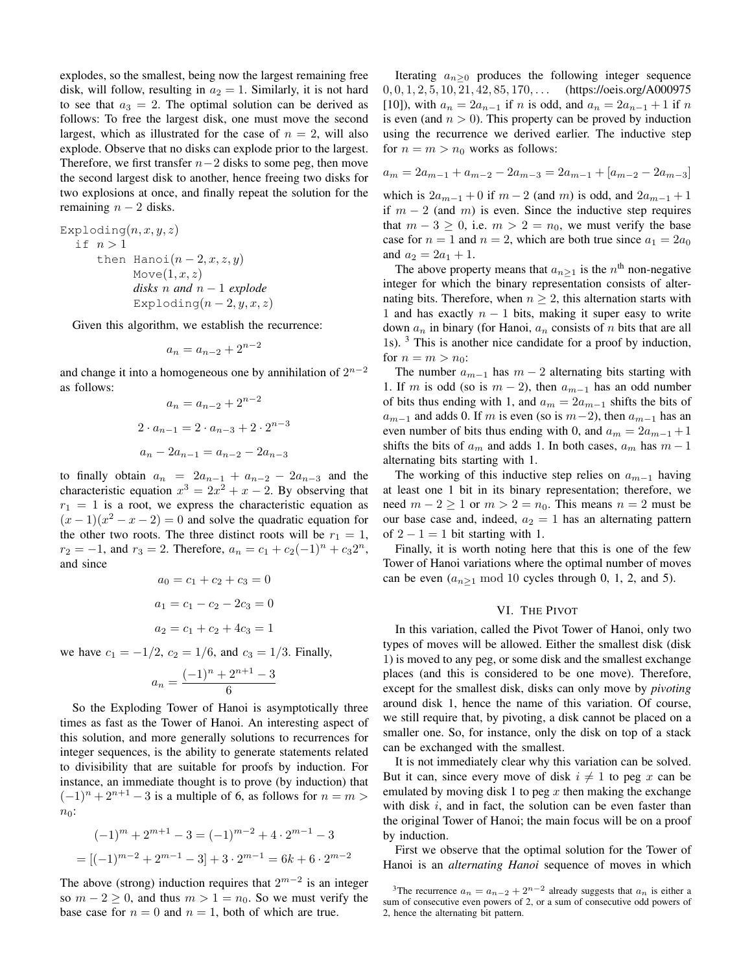explodes, so the smallest, being now the largest remaining free disk, will follow, resulting in  $a_2 = 1$ . Similarly, it is not hard to see that  $a_3 = 2$ . The optimal solution can be derived as follows: To free the largest disk, one must move the second largest, which as illustrated for the case of  $n = 2$ , will also explode. Observe that no disks can explode prior to the largest. Therefore, we first transfer  $n-2$  disks to some peg, then move the second largest disk to another, hence freeing two disks for two explosions at once, and finally repeat the solution for the remaining  $n - 2$  disks.

Exploding $(n, x, y, z)$ if  $n > 1$ then Hanoi $(n-2, x, z, y)$  $Move(1, x, z)$ *disks* n *and* n − 1 *explode* Exploding $(n-2, y, x, z)$ 

Given this algorithm, we establish the recurrence:

$$
a_n = a_{n-2} + 2^{n-2}
$$

and change it into a homogeneous one by annihilation of  $2^{n-2}$ as follows:

$$
a_n = a_{n-2} + 2^{n-2}
$$

$$
2 \cdot a_{n-1} = 2 \cdot a_{n-3} + 2 \cdot 2^{n-3}
$$

$$
a_n - 2a_{n-1} = a_{n-2} - 2a_{n-3}
$$

to finally obtain  $a_n = 2a_{n-1} + a_{n-2} - 2a_{n-3}$  and the characteristic equation  $x^3 = 2x^2 + x - 2$ . By observing that  $r_1 = 1$  is a root, we express the characteristic equation as  $(x-1)(x<sup>2</sup> - x - 2) = 0$  and solve the quadratic equation for the other two roots. The three distinct roots will be  $r_1 = 1$ ,  $r_2 = -1$ , and  $r_3 = 2$ . Therefore,  $a_n = c_1 + c_2(-1)^n + c_32^n$ , and since

$$
a_0 = c_1 + c_2 + c_3 = 0
$$

$$
a_1 = c_1 - c_2 - 2c_3 = 0
$$

$$
a_2 = c_1 + c_2 + 4c_3 = 1
$$

we have  $c_1 = -1/2$ ,  $c_2 = 1/6$ , and  $c_3 = 1/3$ . Finally,

$$
a_n = \frac{(-1)^n + 2^{n+1} - 3}{6}
$$

So the Exploding Tower of Hanoi is asymptotically three times as fast as the Tower of Hanoi. An interesting aspect of this solution, and more generally solutions to recurrences for integer sequences, is the ability to generate statements related to divisibility that are suitable for proofs by induction. For instance, an immediate thought is to prove (by induction) that  $(-1)^n + 2^{n+1} - 3$  is a multiple of 6, as follows for  $n = m$  $n_0$ :

$$
(-1)^m + 2^{m+1} - 3 = (-1)^{m-2} + 4 \cdot 2^{m-1} - 3
$$

$$
= [(-1)^{m-2} + 2^{m-1} - 3] + 3 \cdot 2^{m-1} = 6k + 6 \cdot 2^{m-2}
$$

The above (strong) induction requires that  $2^{m-2}$  is an integer so  $m - 2 \ge 0$ , and thus  $m > 1 = n_0$ . So we must verify the base case for  $n = 0$  and  $n = 1$ , both of which are true.

Iterating  $a_{n>0}$  produces the following integer sequence  $0, 0, 1, 2, 5, 10, 21, 42, 85, 170, \ldots$  (https://oeis.org/A000975 [10]), with  $a_n = 2a_{n-1}$  if n is odd, and  $a_n = 2a_{n-1} + 1$  if n is even (and  $n > 0$ ). This property can be proved by induction using the recurrence we derived earlier. The inductive step for  $n = m > n_0$  works as follows:

$$
a_m = 2a_{m-1} + a_{m-2} - 2a_{m-3} = 2a_{m-1} + [a_{m-2} - 2a_{m-3}]
$$

which is  $2a_{m-1} + 0$  if  $m - 2$  (and m) is odd, and  $2a_{m-1} + 1$ if  $m - 2$  (and m) is even. Since the inductive step requires that  $m - 3 \ge 0$ , i.e.  $m > 2 = n_0$ , we must verify the base case for  $n = 1$  and  $n = 2$ , which are both true since  $a_1 = 2a_0$ and  $a_2 = 2a_1 + 1$ .

The above property means that  $a_{n\geq 1}$  is the  $n^{\text{th}}$  non-negative integer for which the binary representation consists of alternating bits. Therefore, when  $n \geq 2$ , this alternation starts with 1 and has exactly  $n - 1$  bits, making it super easy to write down  $a_n$  in binary (for Hanoi,  $a_n$  consists of n bits that are all 1s). <sup>3</sup> This is another nice candidate for a proof by induction, for  $n = m > n_0$ :

The number  $a_{m-1}$  has  $m-2$  alternating bits starting with 1. If m is odd (so is  $m - 2$ ), then  $a_{m-1}$  has an odd number of bits thus ending with 1, and  $a_m = 2a_{m-1}$  shifts the bits of  $a_{m-1}$  and adds 0. If m is even (so is  $m-2$ ), then  $a_{m-1}$  has an even number of bits thus ending with 0, and  $a_m = 2a_{m-1} + 1$ shifts the bits of  $a_m$  and adds 1. In both cases,  $a_m$  has  $m-1$ alternating bits starting with 1.

The working of this inductive step relies on  $a_{m-1}$  having at least one 1 bit in its binary representation; therefore, we need  $m - 2 \ge 1$  or  $m > 2 = n_0$ . This means  $n = 2$  must be our base case and, indeed,  $a_2 = 1$  has an alternating pattern of  $2 - 1 = 1$  bit starting with 1.

Finally, it is worth noting here that this is one of the few Tower of Hanoi variations where the optimal number of moves can be even  $(a_{n\geq 1} \mod 10)$  cycles through 0, 1, 2, and 5).

## VI. THE PIVOT

In this variation, called the Pivot Tower of Hanoi, only two types of moves will be allowed. Either the smallest disk (disk 1) is moved to any peg, or some disk and the smallest exchange places (and this is considered to be one move). Therefore, except for the smallest disk, disks can only move by *pivoting* around disk 1, hence the name of this variation. Of course, we still require that, by pivoting, a disk cannot be placed on a smaller one. So, for instance, only the disk on top of a stack can be exchanged with the smallest.

It is not immediately clear why this variation can be solved. But it can, since every move of disk  $i \neq 1$  to peg x can be emulated by moving disk 1 to peg  $x$  then making the exchange with disk  $i$ , and in fact, the solution can be even faster than the original Tower of Hanoi; the main focus will be on a proof by induction.

First we observe that the optimal solution for the Tower of Hanoi is an *alternating Hanoi* sequence of moves in which

<sup>&</sup>lt;sup>3</sup>The recurrence  $a_n = a_{n-2} + 2^{n-2}$  already suggests that  $a_n$  is either a sum of consecutive even powers of 2, or a sum of consecutive odd powers of 2, hence the alternating bit pattern.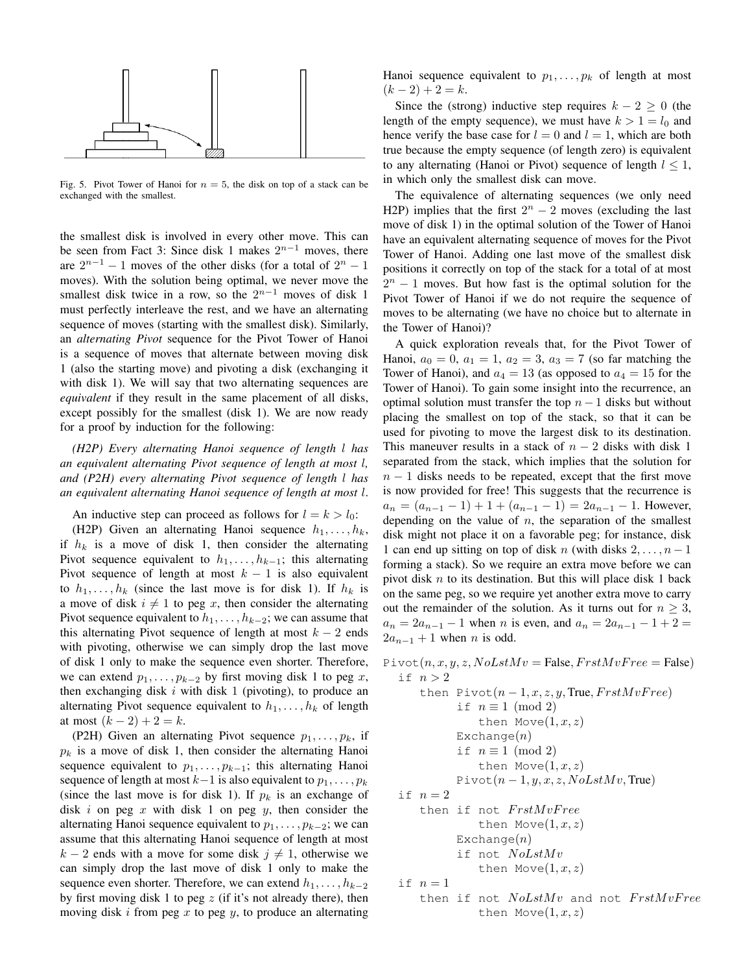

Fig. 5. Pivot Tower of Hanoi for  $n = 5$ , the disk on top of a stack can be exchanged with the smallest.

the smallest disk is involved in every other move. This can be seen from Fact 3: Since disk 1 makes  $2^{n-1}$  moves, there are  $2^{n-1} - 1$  moves of the other disks (for a total of  $2^n - 1$ ) moves). With the solution being optimal, we never move the smallest disk twice in a row, so the  $2^{n-1}$  moves of disk 1 must perfectly interleave the rest, and we have an alternating sequence of moves (starting with the smallest disk). Similarly, an *alternating Pivot* sequence for the Pivot Tower of Hanoi is a sequence of moves that alternate between moving disk 1 (also the starting move) and pivoting a disk (exchanging it with disk 1). We will say that two alternating sequences are *equivalent* if they result in the same placement of all disks, except possibly for the smallest (disk 1). We are now ready for a proof by induction for the following:

*(H2P) Every alternating Hanoi sequence of length* l *has an equivalent alternating Pivot sequence of length at most* l*, and (P2H) every alternating Pivot sequence of length* l *has an equivalent alternating Hanoi sequence of length at most* l.

An inductive step can proceed as follows for  $l = k > l_0$ :

(H2P) Given an alternating Hanoi sequence  $h_1, \ldots, h_k$ , if  $h_k$  is a move of disk 1, then consider the alternating Pivot sequence equivalent to  $h_1, \ldots, h_{k-1}$ ; this alternating Pivot sequence of length at most  $k - 1$  is also equivalent to  $h_1, \ldots, h_k$  (since the last move is for disk 1). If  $h_k$  is a move of disk  $i \neq 1$  to peg x, then consider the alternating Pivot sequence equivalent to  $h_1, \ldots, h_{k-2}$ ; we can assume that this alternating Pivot sequence of length at most  $k - 2$  ends with pivoting, otherwise we can simply drop the last move of disk 1 only to make the sequence even shorter. Therefore, we can extend  $p_1, \ldots, p_{k-2}$  by first moving disk 1 to peg x, then exchanging disk  $i$  with disk 1 (pivoting), to produce an alternating Pivot sequence equivalent to  $h_1, \ldots, h_k$  of length at most  $(k - 2) + 2 = k$ .

(P2H) Given an alternating Pivot sequence  $p_1, \ldots, p_k$ , if  $p_k$  is a move of disk 1, then consider the alternating Hanoi sequence equivalent to  $p_1, \ldots, p_{k-1}$ ; this alternating Hanoi sequence of length at most  $k-1$  is also equivalent to  $p_1, \ldots, p_k$ (since the last move is for disk 1). If  $p_k$  is an exchange of disk i on peg x with disk 1 on peg y, then consider the alternating Hanoi sequence equivalent to  $p_1, \ldots, p_{k-2}$ ; we can assume that this alternating Hanoi sequence of length at most  $k - 2$  ends with a move for some disk  $j \neq 1$ , otherwise we can simply drop the last move of disk 1 only to make the sequence even shorter. Therefore, we can extend  $h_1, \ldots, h_{k-2}$ by first moving disk 1 to peg  $z$  (if it's not already there), then moving disk  $i$  from peg  $x$  to peg  $y$ , to produce an alternating Hanoi sequence equivalent to  $p_1, \ldots, p_k$  of length at most  $(k-2)+2=k.$ 

Since the (strong) inductive step requires  $k - 2 \geq 0$  (the length of the empty sequence), we must have  $k > 1 = l_0$  and hence verify the base case for  $l = 0$  and  $l = 1$ , which are both true because the empty sequence (of length zero) is equivalent to any alternating (Hanoi or Pivot) sequence of length  $l \leq 1$ , in which only the smallest disk can move.

The equivalence of alternating sequences (we only need H2P) implies that the first  $2^n - 2$  moves (excluding the last move of disk 1) in the optimal solution of the Tower of Hanoi have an equivalent alternating sequence of moves for the Pivot Tower of Hanoi. Adding one last move of the smallest disk positions it correctly on top of the stack for a total of at most  $2<sup>n</sup> - 1$  moves. But how fast is the optimal solution for the Pivot Tower of Hanoi if we do not require the sequence of moves to be alternating (we have no choice but to alternate in the Tower of Hanoi)?

A quick exploration reveals that, for the Pivot Tower of Hanoi,  $a_0 = 0$ ,  $a_1 = 1$ ,  $a_2 = 3$ ,  $a_3 = 7$  (so far matching the Tower of Hanoi), and  $a_4 = 13$  (as opposed to  $a_4 = 15$  for the Tower of Hanoi). To gain some insight into the recurrence, an optimal solution must transfer the top  $n - 1$  disks but without placing the smallest on top of the stack, so that it can be used for pivoting to move the largest disk to its destination. This maneuver results in a stack of  $n-2$  disks with disk 1 separated from the stack, which implies that the solution for  $n-1$  disks needs to be repeated, except that the first move is now provided for free! This suggests that the recurrence is  $a_n = (a_{n-1} - 1) + 1 + (a_{n-1} - 1) = 2a_{n-1} - 1$ . However, depending on the value of  $n$ , the separation of the smallest disk might not place it on a favorable peg; for instance, disk 1 can end up sitting on top of disk n (with disks  $2, \ldots, n-1$ ) forming a stack). So we require an extra move before we can pivot disk  $n$  to its destination. But this will place disk 1 back on the same peg, so we require yet another extra move to carry out the remainder of the solution. As it turns out for  $n \geq 3$ ,  $a_n = 2a_{n-1} - 1$  when n is even, and  $a_n = 2a_{n-1} - 1 + 2 = 0$  $2a_{n-1} + 1$  when *n* is odd.

```
Pivot(n, x, y, z, NolstMv = False, FrstMvFree = False)if n > 2then Pivot(n-1, x, z, y, True, FrstMvFree)if n \equiv 1 \pmod{2}then Move(1, x, z)Exchange(n)if n \equiv 1 \pmod{2}then Move(1, x, z)Pivot(n-1, y, x, z, NolstMv, True)if n=2then if not FrstMvFreethen Move(1, x, z)Exchange(n)if not NoLstMv
               then Move(1, x, z)if n=1then if not NoLstMv and not FrstMvFreethen Move(1, x, z)
```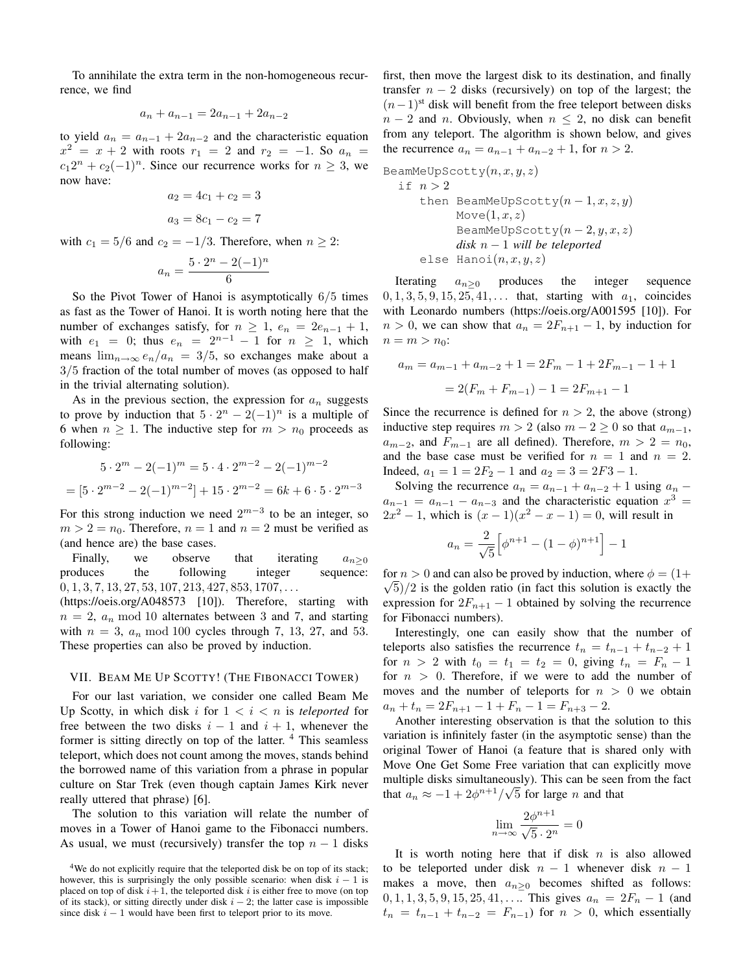To annihilate the extra term in the non-homogeneous recurrence, we find

$$
a_n + a_{n-1} = 2a_{n-1} + 2a_{n-2}
$$

to yield  $a_n = a_{n-1} + 2a_{n-2}$  and the characteristic equation  $x^2 = x + 2$  with roots  $r_1 = 2$  and  $r_2 = -1$ . So  $a_n =$  $c_1 2^n + c_2(-1)^n$ . Since our recurrence works for  $n \geq 3$ , we now have:

$$
a_2 = 4c_1 + c_2 = 3
$$

$$
a_3 = 8c_1 - c_2 = 7
$$

with  $c_1 = 5/6$  and  $c_2 = -1/3$ . Therefore, when  $n \geq 2$ :

$$
a_n = \frac{5 \cdot 2^n - 2(-1)^n}{6}
$$

So the Pivot Tower of Hanoi is asymptotically 6/5 times as fast as the Tower of Hanoi. It is worth noting here that the number of exchanges satisfy, for  $n \geq 1$ ,  $e_n = 2e_{n-1} + 1$ , with  $e_1 = 0$ ; thus  $e_n = 2^{n-1} - 1$  for  $n \ge 1$ , which means  $\lim_{n\to\infty} e_n/a_n = 3/5$ , so exchanges make about a 3/5 fraction of the total number of moves (as opposed to half in the trivial alternating solution).

As in the previous section, the expression for  $a_n$  suggests to prove by induction that  $5 \cdot 2^n - 2(-1)^n$  is a multiple of 6 when  $n \geq 1$ . The inductive step for  $m > n_0$  proceeds as following:

$$
5 \cdot 2^{m} - 2(-1)^{m} = 5 \cdot 4 \cdot 2^{m-2} - 2(-1)^{m-2}
$$

$$
= [5 \cdot 2^{m-2} - 2(-1)^{m-2}] + 15 \cdot 2^{m-2} = 6k + 6 \cdot 5 \cdot 2^{m-3}
$$

For this strong induction we need  $2^{m-3}$  to be an integer, so  $m > 2 = n_0$ . Therefore,  $n = 1$  and  $n = 2$  must be verified as (and hence are) the base cases.

Finally, we observe that iterating  $a_{n\geq 0}$ produces the following integer sequence:  $0, 1, 3, 7, 13, 27, 53, 107, 213, 427, 853, 1707, \ldots$ 

(https://oeis.org/A048573 [10]). Therefore, starting with  $n = 2$ ,  $a_n \mod 10$  alternates between 3 and 7, and starting with  $n = 3$ ,  $a_n \mod 100$  cycles through 7, 13, 27, and 53. These properties can also be proved by induction.

## VII. BEAM ME UP SCOTTY! (THE FIBONACCI TOWER)

For our last variation, we consider one called Beam Me Up Scotty, in which disk i for  $1 < i < n$  is *teleported* for free between the two disks  $i - 1$  and  $i + 1$ , whenever the former is sitting directly on top of the latter.  $4$  This seamless teleport, which does not count among the moves, stands behind the borrowed name of this variation from a phrase in popular culture on Star Trek (even though captain James Kirk never really uttered that phrase) [6].

The solution to this variation will relate the number of moves in a Tower of Hanoi game to the Fibonacci numbers. As usual, we must (recursively) transfer the top  $n - 1$  disks first, then move the largest disk to its destination, and finally transfer  $n - 2$  disks (recursively) on top of the largest; the  $(n-1)$ <sup>st</sup> disk will benefit from the free teleport between disks  $n-2$  and n. Obviously, when  $n \leq 2$ , no disk can benefit from any teleport. The algorithm is shown below, and gives the recurrence  $a_n = a_{n-1} + a_{n-2} + 1$ , for  $n > 2$ .

BeamMeUpScotty(n, x, y, z)

\nif 
$$
n > 2
$$

\nthen  $BeanMeUpScotty(n-1, x, z, y)$ 

\nMove(1, x, z)

\nBeanMeUpScotty(n-2, y, x, z)

\ndisk  $n-1$  will be teleported

\nelse  $Hanoi(n, x, y, z)$ 

Iterating  $a_{n\geq 0}$  produces the integer sequence  $0, 1, 3, 5, 9, 15, 25, 41, \ldots$  that, starting with  $a_1$ , coincides with Leonardo numbers (https://oeis.org/A001595 [10]). For  $n > 0$ , we can show that  $a_n = 2F_{n+1} - 1$ , by induction for  $n = m > n_0$ :

$$
a_m = a_{m-1} + a_{m-2} + 1 = 2F_m - 1 + 2F_{m-1} - 1 + 1
$$

$$
= 2(F_m + F_{m-1}) - 1 = 2F_{m+1} - 1
$$

Since the recurrence is defined for  $n > 2$ , the above (strong) inductive step requires  $m > 2$  (also  $m - 2 \ge 0$  so that  $a_{m-1}$ ,  $a_{m-2}$ , and  $F_{m-1}$  are all defined). Therefore,  $m > 2 = n_0$ , and the base case must be verified for  $n = 1$  and  $n = 2$ . Indeed,  $a_1 = 1 = 2F_2 - 1$  and  $a_2 = 3 = 2F_3 - 1$ .

Solving the recurrence  $a_n = a_{n-1} + a_{n-2} + 1$  using  $a_n$  –  $a_{n-1} = a_{n-1} - a_{n-3}$  and the characteristic equation  $x^3 =$  $2x^2 - 1$ , which is  $(x - 1)(x^2 - x - 1) = 0$ , will result in

$$
a_n = \frac{2}{\sqrt{5}} \Big[ \phi^{n+1} - (1 - \phi)^{n+1} \Big] - 1
$$

for  $n > 0$  and can also be proved by induction, where  $\phi = (1 + \sqrt{m})^2$  $\sqrt{5}/2$  is the golden ratio (in fact this solution is exactly the expression for  $2F_{n+1} - 1$  obtained by solving the recurrence for Fibonacci numbers).

Interestingly, one can easily show that the number of teleports also satisfies the recurrence  $t_n = t_{n-1} + t_{n-2} + 1$ for  $n > 2$  with  $t_0 = t_1 = t_2 = 0$ , giving  $t_n = F_n - 1$ for  $n > 0$ . Therefore, if we were to add the number of moves and the number of teleports for  $n > 0$  we obtain  $a_n + t_n = 2F_{n+1} - 1 + F_n - 1 = F_{n+3} - 2.$ 

Another interesting observation is that the solution to this variation is infinitely faster (in the asymptotic sense) than the original Tower of Hanoi (a feature that is shared only with Move One Get Some Free variation that can explicitly move multiple disks simultaneously). This can be seen from the fact that  $a_n \approx -1 + 2\phi^{n+1}/\sqrt{5}$  for large *n* and that

$$
\lim_{n \to \infty} \frac{2\phi^{n+1}}{\sqrt{5} \cdot 2^n} = 0
$$

It is worth noting here that if disk  $n$  is also allowed to be teleported under disk  $n - 1$  whenever disk  $n - 1$ makes a move, then  $a_{n\geq 0}$  becomes shifted as follows:  $0, 1, 1, 3, 5, 9, 15, 25, 41, \ldots$  This gives  $a_n = 2F_n - 1$  (and  $t_n = t_{n-1} + t_{n-2} = F_{n-1}$  for  $n > 0$ , which essentially

<sup>&</sup>lt;sup>4</sup>We do not explicitly require that the teleported disk be on top of its stack; however, this is surprisingly the only possible scenario: when disk  $i - 1$  is placed on top of disk  $i + 1$ , the teleported disk i is either free to move (on top of its stack), or sitting directly under disk  $i - 2$ ; the latter case is impossible since disk  $i - 1$  would have been first to teleport prior to its move.